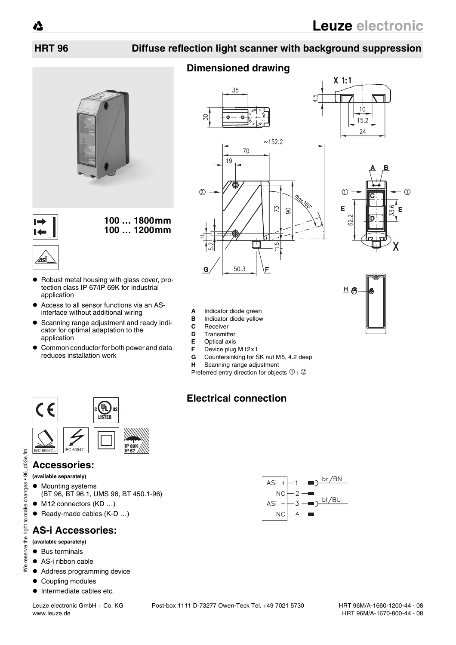$10$ 

 $15.2$  $24$ 

## **HRT 96 Diffuse reflection light scanner with background suppression**

# **Dimensioned drawing**







- **A** Indicator diode green
- **B** Indicator diode yellow<br>**C** Receiver
- 
- **C** Receiver<br>**D** Transmitt **D** Transmitter
- 
- **E** Optical axis<br>**F** Device plug
- **F** Device plug M12x1<br>**G** Countersinking for S **G** Countersinking for SK nut M5, 4.2 deep
- **H** Scanning range adjustment
- Preferred entry direction for objects  $0+Q$

## **Electrical connection**





• Robust metal housing with glass cover, protection class IP 67/IP 69K for industrial

**100 … 1800mm 100 … 1200mm**

 $\bullet$  Access to all sensor functions via an ASinterface without additional wiring • Scanning range adjustment and ready indicator for optimal adaptation to the

• Common conductor for both power and data

### **Accessories:**

**(available separately)**

application

 $\overline{\mathbf{t}}$ 

∕⊿si

application

C E

reduces installation work

- Mounting systems
- (BT 96, BT 96.1, UMS 96, BT 450.1-96)
- $\bullet$  M12 connectors (KD ...)
- $\bullet$  Ready-made cables (K-D ...)

## **AS-i Accessories:**

### **(available separately)**

 $\bullet$  Bus terminals

We reserve the right to make changes • 96\_d03e.fm

reserve the

 $\zeta$ 

right to make changes . 96

E  $dO3e.f$ 

- $\bullet$  AS-i ribbon cable
- $\bullet$  Address programming device
- Coupling modules
- $\bullet$  Intermediate cables etc.